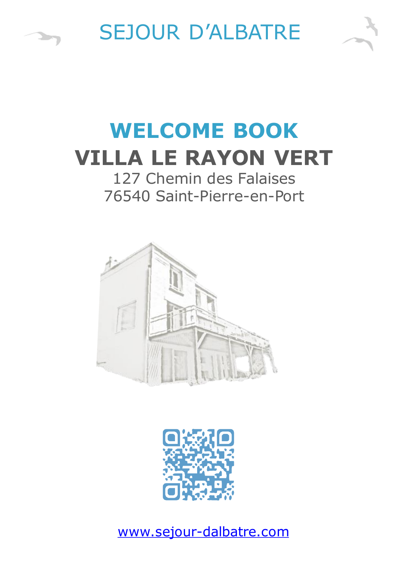

**START COMPOSE** 

# **WELCOME BOOK VILLA LE RAYON VERT**

# 127 Chemin des Falaises 76540 Saint-Pierre-en-Port





[www.sejour-dalbatre.com](http://www.sejour-dalbatre.com/)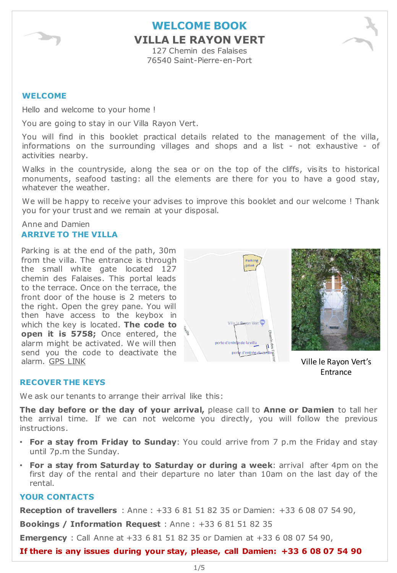

### **WELCOME BOOK VILLA LE RAYON VERT** 127 Chemin des Falaises

76540 Saint-Pierre-en-Port

#### **WELCOME**

Hello and welcome to your home !

You are going to stay in our Villa Rayon Vert.

You will find in this booklet practical details related to the management of the villa, informations on the surrounding villages and shops and a list - not exhaustive - of activities nearby.

Walks in the countryside, along the sea or on the top of the cliffs, visits to historical monuments, seafood tasting: all the elements are there for you to have a good stay, whatever the weather.

We will be happy to receive your advises to improve this booklet and our welcome ! Thank you for your trust and we remain at your disposal.

Anne and Damien **ARRIVE TO THE VILLA**

Parking is at the end of the path, 30m from the villa. The entrance is through the small white gate located 127 chemin des Falaises. This portal leads to the terrace. Once on the terrace, the front door of the house is 2 meters to the right. Open the grey pane. You will then have access to the keybox in which the key is located. **The code to open it is 5758;** Once entered, the alarm might be activated. We will then send you the code to deactivate the alarm. GPS [LINK](https://goo.gl/maps/Tp5khLBbw9M2)





Ville le Rayon Vert's Entrance

#### **RECOVER THE KEYS**

We ask our tenants to arrange their arrival like this:

**The day before or the day of your arrival,** please call to **Anne or Damien** to tall her the arrival time. If we can not welcome you directly, you will follow the previous instructions.

- **For a stay from Friday to Sunday**: You could arrive from 7 p.m the Friday and stay until 7p.m the Sunday.
- **For a stay from Saturday to Saturday or during a week**: arrival after 4pm on the first day of the rental and their departure no later than 10am on the last day of the rental.

#### **YOUR CONTACTS**

**Reception of travellers** : Anne : +33 6 81 51 82 35 or Damien: +33 6 08 07 54 90,

**Bookings / Information Request** : Anne : +33 6 81 51 82 35

**Emergency** : Call Anne at +33 6 81 51 82 35 or Damien at +33 6 08 07 54 90,

**If there is any issues during your stay, please, call Damien: +33 6 08 07 54 90**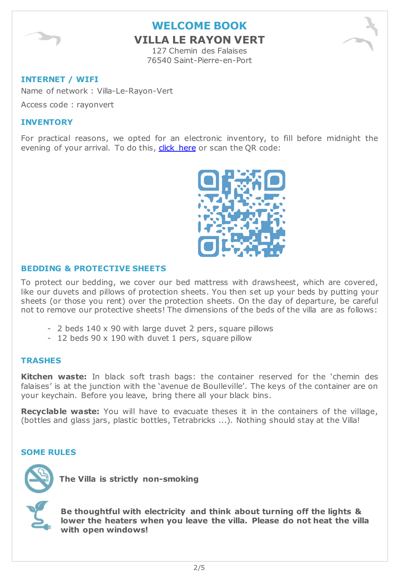

### **VILLA LE RAYON VERT**

127 Chemin des Falaises 76540 Saint-Pierre-en-Port

#### **INTERNET / WIFI**

Name of network : Villa-Le-Rayon-Vert

Access code : rayonvert

#### **INVENTORY**

For practical reasons, we opted for an electronic inventory, to fill before midnight the evening of your arrival. To do this, click [here](https://www.sejour-dalbatre.com/ellvlrv) or scan the QR code:



#### **BEDDING & PROTECTIVE SHEETS**

To protect our bedding, we cover our bed mattress with drawsheest, which are covered, like our duvets and pillows of protection sheets. You then set up your beds by putting your sheets (or those you rent) over the protection sheets. On the day of departure, be careful not to remove our protective sheets! The dimensions of the beds of the villa are as follows:

- 2 beds 140 x 90 with large duvet 2 pers, square pillows
- 12 beds 90 x 190 with duvet 1 pers, square pillow

#### **TRASHES**

**Kitchen waste:** In black soft trash bags: the container reserved for the 'chemin des falaises' is at the junction with the 'avenue de Boulleville'. The keys of the container are on your keychain. Before you leave, bring there all your black bins.

**Recyclable waste:** You will have to evacuate theses it in the containers of the village, (bottles and glass jars, plastic bottles, Tetrabricks ...). Nothing should stay at the Villa!

#### **SOME RULES**



**The Villa is strictly non-smoking**

**Be thoughtful with electricity and think about turning off the lights & lower the heaters when you leave the villa. Please do not heat the villa with open windows!**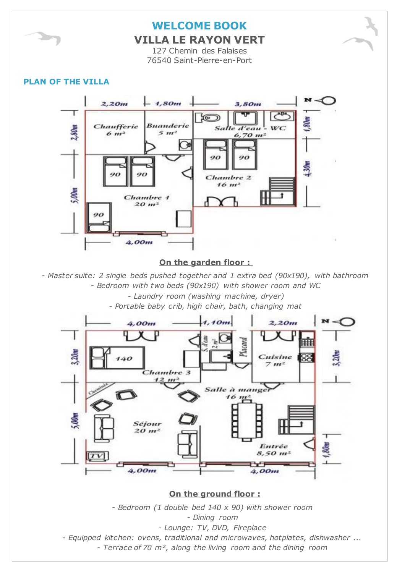

**VILLA LE RAYON VERT**

127 Chemin des Falaises 76540 Saint-Pierre-en-Port

#### **PLAN OF THE VILLA**



#### **On the garden floor :**

*- Master suite: 2 single beds pushed together and 1 extra bed (90x190), with bathroom - Bedroom with two beds (90x190) with shower room and WC*

*- Laundry room (washing machine, dryer)*

*- Portable baby crib, high chair, bath, changing mat*



**On the ground floor :**

*- Bedroom (1 double bed 140 x 90) with shower room - Dining room - Lounge: TV, DVD, Fireplace - Equipped kitchen: ovens, traditional and microwaves, hotplates, dishwasher ... - Terrace of 70 m², along the living room and the dining room*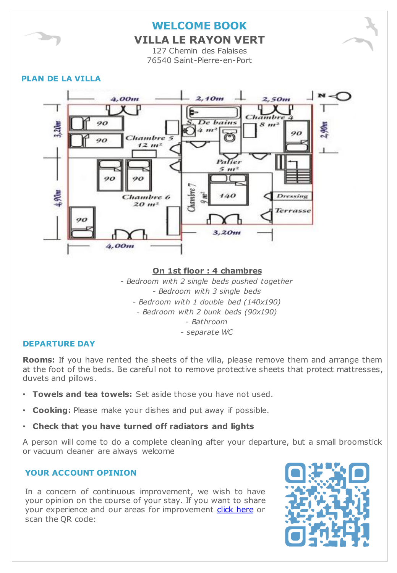

**VILLA LE RAYON VERT**

127 Chemin des Falaises 76540 Saint-Pierre-en-Port

#### **PLAN DE LA VILLA**



#### **On 1st floor : 4 chambres**

*- Bedroom with 2 single beds pushed together - Bedroom with 3 single beds - Bedroom with 1 double bed (140x190) - Bedroom with 2 bunk beds (90x190) - Bathroom - separate WC*

#### **DEPARTURE DAY**

**Rooms:** If you have rented the sheets of the villa, please remove them and arrange them at the foot of the beds. Be careful not to remove protective sheets that protect mattresses, duvets and pillows.

- **Towels and tea towels:** Set aside those you have not used.
- **Cooking:** Please make your dishes and put away if possible.
- **Check that you have turned off radiators and lights**

A person will come to do a complete cleaning after your departure, but a small broomstick or vacuum cleaner are always welcome

#### **YOUR ACCOUNT OPINION**

In a concern of continuous improvement, we wish to have your opinion on the course of your stay. If you want to share your experience and our areas for improvement click [here](https://goo.gl/forms/zIMPsFAtmvaQuiHg2) or scan the QR code:

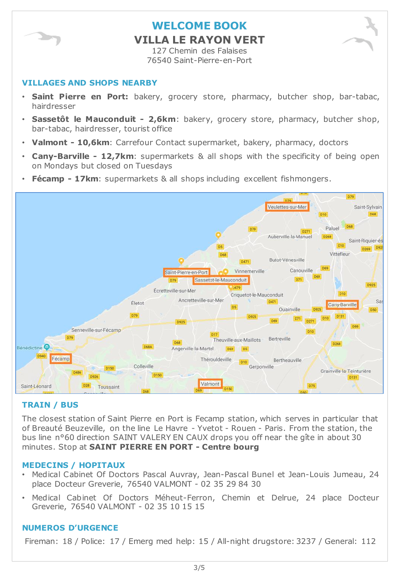

### **WELCOME BOOK VILLA LE RAYON VERT**

127 Chemin des Falaises 76540 Saint-Pierre-en-Port

#### **VILLAGES AND SHOPS NEARBY**

- **Saint Pierre en Port:** bakery, grocery store, pharmacy, butcher shop, bar-tabac, hairdresser
- **Sassetôt le Mauconduit - 2,6km**: bakery, grocery store, pharmacy, butcher shop, bar-tabac, hairdresser, tourist office
- **Valmont - 10,6km**: Carrefour Contact supermarket, bakery, pharmacy, doctors
- **Cany-Barville - 12,7km**: supermarkets & all shops with the specificity of being open on Mondays but closed on Tuesdays
- **Fécamp - 17km**: supermarkets & all shops including excellent fishmongers.



#### **TRAIN / BUS**

The closest station of Saint Pierre en Port is Fecamp station, which serves in particular that of Breauté Beuzeville, on the line Le Havre - Yvetot - Rouen - Paris. From the station, the bus line n°60 direction SAINT VALERY EN CAUX drops you off near the gîte in about 30 minutes. Stop at **SAINT PIERRE EN PORT - Centre bourg**

#### **MEDECINS / HOPITAUX**

- Medical Cabinet Of Doctors Pascal Auvray, Jean-Pascal Bunel et Jean-Louis Jumeau, 24 place Docteur Greverie, 76540 VALMONT - 02 35 29 84 30
- Medical Cabinet Of Doctors Méheut-Ferron, Chemin et Delrue, 24 place Docteur Greverie, 76540 VALMONT - 02 35 10 15 15

#### **NUMEROS D'URGENCE**

Fireman: 18 / Police: 17 / Emerg med help: 15 / All-night drugstore: 3237 / General: 112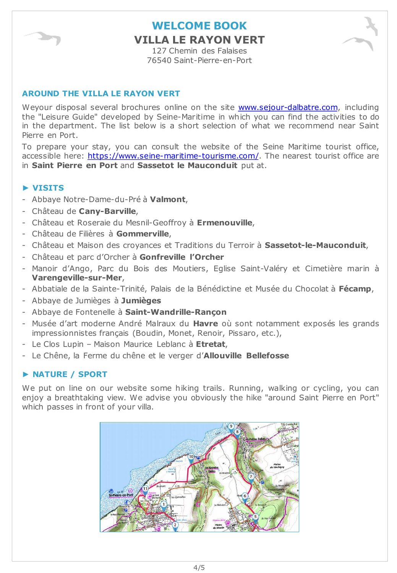

**VILLA LE RAYON VERT**

127 Chemin des Falaises 76540 Saint-Pierre-en-Port

#### **AROUND THE VILLA LE RAYON VERT**

Weyour disposal several brochures online on the site [www.sejour-dalbatre.com,](http://www.sejourdalbatre.com/) including the "Leisure Guide" developed by Seine-Maritime in which you can find the activities to do in the department. The list below is a short selection of what we recommend near Saint Pierre en Port.

To prepare your stay, you can consult the website of the Seine Maritime tourist office, accessible here: <https://www.seine-maritime-tourisme.com/>. The nearest tourist office are in **Saint Pierre en Port** and **Sassetot le Mauconduit** put at.

#### **► VISITS**

- Abbaye Notre-Dame-du-Pré à **Valmont**,
- Château de **Cany-Barville**,
- Château et Roseraie du Mesnil-Geoffroy à **Ermenouville**,
- Château de Filières à **Gommerville**,
- Château et Maison des croyances et Traditions du Terroir à **Sassetot-le-Mauconduit**,
- Château et parc d'Orcher à **Gonfreville l'Orcher**
- Manoir d'Ango, Parc du Bois des Moutiers, Eglise Saint-Valéry et Cimetière marin à **Varengeville-sur-Mer**,
- Abbatiale de la Sainte-Trinité, Palais de la Bénédictine et Musée du Chocolat à **Fécamp**,
- Abbaye de Jumièges à **Jumièges**
- Abbaye de Fontenelle à **Saint-Wandrille-Rançon**
- Musée d'art moderne André Malraux du **Havre** où sont notamment exposés les grands impressionnistes français (Boudin, Monet, Renoir, Pissaro, etc.),
- Le Clos Lupin Maison Maurice Leblanc à **Etretat**,
- Le Chêne, la Ferme du chêne et le verger d'**Allouville Bellefosse**

#### **► NATURE / SPORT**

We put on line on our website some hiking trails. Running, walking or cycling, you can enjoy a breathtaking view. We advise you obviously the hike "around Saint Pierre en Port" which passes in front of your villa.